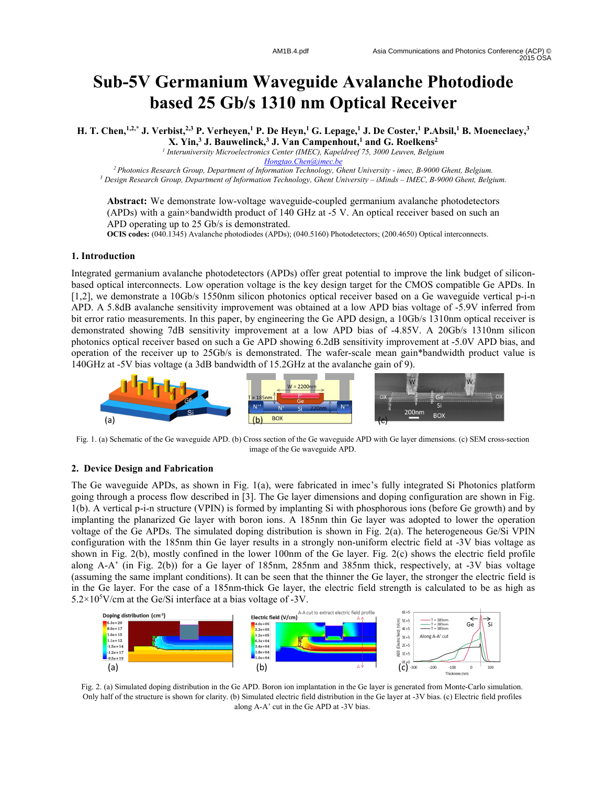# **Sub-5V Germanium Waveguide Avalanche Photodiode based 25 Gb/s 1310 nm Optical Receiver**

**H. T. Chen,1,2,\* J. Verbist,2,3 P. Verheyen,<sup>1</sup> P. De Heyn,<sup>1</sup> G. Lepage,<sup>1</sup> J. De Coster,<sup>1</sup> P.Absil,<sup>1</sup> B. Moeneclaey,<sup>3</sup>**

**X. Yin,<sup>3</sup> J. Bauwelinck,<sup>3</sup> J. Van Campenhout,<sup>1</sup> and G. Roelkens<sup>2</sup>**

*1 Interuniversity Microelectronics Center (IMEC), Kapeldreef 75, 3000 Leuven, Belgium*

*Hongtao.Chen@imec.be*

*<sup>2</sup>Photonics Research Group, Department of Information Technology, Ghent University - imec, B-9000 Ghent, Belgium. <sup>3</sup> Design Research Group, Department of Information Technology, Ghent University – iMinds – IMEC, B-9000 Ghent, Belgium.*

Abstract: We demonstrate low-voltage waveguide-coupled germanium avalanche photodetectors (APDs) with a gain×bandwidth product of 140 GHz at -5 V. An optical receiver based on such an APD operating up to 25 Gb/s is demonstrated.

**OCIS codes:** (040.1345) Avalanche photodiodes (APDs); (040.5160) Photodetectors; (200.4650) Optical interconnects.

### **1. Introduction**

Integrated germanium avalanche photodetectors (APDs) offer great potential to improve the link budget of siliconbased optical interconnects. Low operation voltage is the key design target for the CMOS compatible Ge APDs. In [1,2], we demonstrate a 10Gb/s 1550nm silicon photonics optical receiver based on a Ge waveguide vertical p-i-n APD. A 5.8dB avalanche sensitivity improvement was obtained at a low APD bias voltage of -5.9V inferred from bit error ratio measurements. In this paper, by engineering the Ge APD design, a 10Gb/s 1310nm optical receiver is demonstrated showing 7dB sensitivity improvement at a low APD bias of -4.85V. A 20Gb/s 1310nm silicon photonics optical receiver based on such a Ge APD showing 6.2dB sensitivity improvement at -5.0V APD bias, and operation of the receiver up to 25Gb/s is demonstrated. The wafer-scale mean gain\*bandwidth product value is 140GHz at -5V bias voltage (a 3dB bandwidth of 15.2GHz at the avalanche gain of 9).



Fig. 1. (a) Schematic of the Ge waveguide APD. (b) Cross section of the Ge waveguide APD with Ge layer dimensions. (c) SEM cross-section image of the Ge waveguide APD.

# **2. Device Design and Fabrication**

The Ge waveguide APDs, as shown in Fig. 1(a), were fabricated in imec's fully integrated Si Photonics platform going through a process flow described in [3]. The Ge layer dimensions and doping configuration are shown in Fig. 1(b). A vertical p-i-n structure (VPIN) is formed by implanting Si with phosphorous ions (before Ge growth) and by implanting the planarized Ge layer with boron ions. A 185nm thin Ge layer was adopted to lower the operation voltage of the Ge APDs. The simulated doping distribution is shown in Fig. 2(a). The heterogeneous Ge/Si VPIN configuration with the 185nm thin Ge layer results in a strongly non-uniform electric field at -3V bias voltage as shown in Fig. 2(b), mostly confined in the lower 100nm of the Ge layer. Fig. 2(c) shows the electric field profile along A-A' (in Fig. 2(b)) for a Ge layer of 185nm, 285nm and 385nm thick, respectively, at -3V bias voltage (assuming the same implant conditions). It can be seen that the thinner the Ge layer, the stronger the electric field is in the Ge layer. For the case of a 185nm-thick Ge layer, the electric field strength is calculated to be as high as  $5.2 \times 10^5$ V/cm at the Ge/Si interface at a bias voltage of -3V.



Fig. 2. (a) Simulated doping distribution in the Ge APD. Boron ion implantation in the Ge layer is generated from Monte-Carlo simulation. Only half of the structure is shown for clarity. (b) Simulated electric field distribution in the Ge layer at -3V bias. (c) Electric field profiles along A-A' cut in the Ge APD at -3V bias.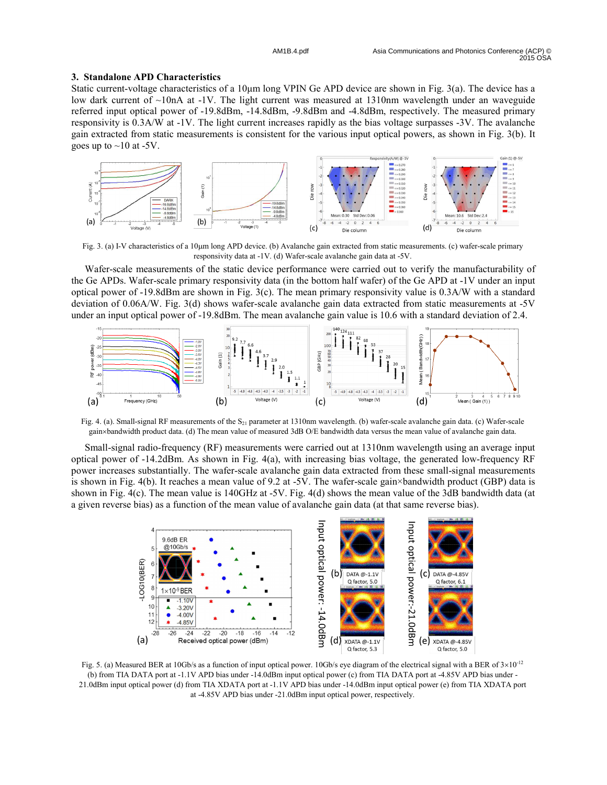# **3. Standalone APD Characteristics**

Static current-voltage characteristics of a 10 km long VPIN Ge APD device are shown in Fig. 3(a). The device has a low dark current of  $\sim$ 10nA at -1V. The light current was measured at 1310nm wavelength under an waveguide referred input optical power of -19.8dBm, -14.8dBm, -9.8dBm and -4.8dBm, respectively. The measured primary responsivity is 0.3A/W at -1V. The light current increases rapidly as the bias voltage surpasses -3V. The avalanche gain extracted from static measurements is consistent for the various input optical powers, as shown in Fig. 3(b). It goes up to  $\sim$ 10 at -5V.



Fig. 3. (a) I-V characteristics of a 10µm long APD device. (b) Avalanche gain extracted from static measurements. (c) wafer-scale primary responsivity data at -1V. (d) Wafer-scale avalanche gain data at -5V.

Wafer-scale measurements of the static device performance were carried out to verify the manufacturability of the Ge APDs. Wafer-scale primary responsivity data (in the bottom half wafer) of the Ge APD at -1V under an input optical power of -19.8dBm are shown in Fig. 3(c). The mean primary responsivity value is 0.3A/W with a standard deviation of 0.06A/W. Fig. 3(d) shows wafer-scale avalanche gain data extracted from static measurements at -5V under an input optical power of -19.8dBm. The mean avalanche gain value is 10.6 with a standard deviation of 2.4.



Fig. 4. (a). Small-signal RF measurements of the  $S_{21}$  parameter at 1310nm wavelength. (b) wafer-scale avalanche gain data. (c) Wafer-scale gain×bandwidth product data. (d) The mean value of measured 3dB O/E bandwidth data versus the mean value of avalanche gain data.

Small-signal radio-frequency (RF) measurements were carried out at 1310nm wavelength using an average input optical power of -14.2dBm. As shown in Fig. 4(a), with increasing bias voltage, the generated low-frequency RF power increases substantially. The wafer-scale avalanche gain data extracted from these small-signal measurements is shown in Fig. 4(b). It reaches a mean value of 9.2 at -5V. The wafer-scale gain×bandwidth product (GBP) data is shown in Fig. 4(c). The mean value is 140GHz at -5V. Fig. 4(d) shows the mean value of the 3dB bandwidth data (at a given reverse bias) as a function of the mean value of avalanche gain data (at that same reverse bias).



Fig. 5. (a) Measured BER at 10Gb/s as a function of input optical power. 10Gb/s eye diagram of the electrical signal with a BER of  $3\times10^{-12}$ (b) from TIA DATA port at -1.1V APD bias under -14.0dBm input optical power (c) from TIA DATA port at -4.85V APD bias under - 21.0dBm input optical power (d) from TIA XDATA port at -1.1V APD bias under -14.0dBm input optical power (e) from TIA XDATA port at -4.85V APD bias under -21.0dBm input optical power, respectively.